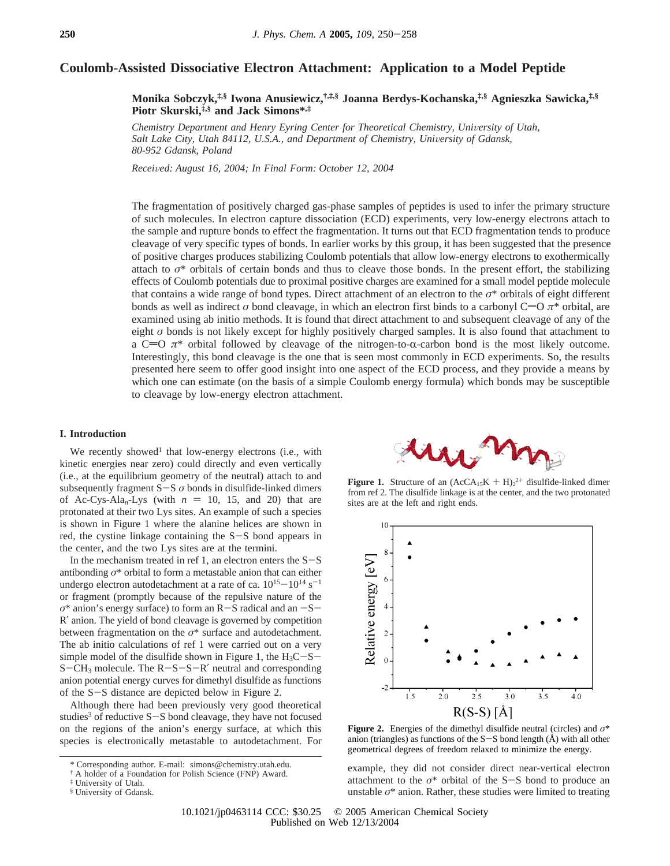# **Coulomb-Assisted Dissociative Electron Attachment: Application to a Model Peptide**

**Monika Sobczyk,‡,§ Iwona Anusiewicz,†,‡,§ Joanna Berdys-Kochanska,‡,§ Agnieszka Sawicka,‡,§ Piotr Skurski,‡,§ and Jack Simons\*,‡**

*Chemistry Department and Henry Eyring Center for Theoretical Chemistry, University of Utah,* Salt Lake City, Utah 84112, U.S.A., and Department of Chemistry, University of Gdansk, *80-952 Gdansk, Poland*

*Recei*V*ed: August 16, 2004; In Final Form: October 12, 2004*

The fragmentation of positively charged gas-phase samples of peptides is used to infer the primary structure of such molecules. In electron capture dissociation (ECD) experiments, very low-energy electrons attach to the sample and rupture bonds to effect the fragmentation. It turns out that ECD fragmentation tends to produce cleavage of very specific types of bonds. In earlier works by this group, it has been suggested that the presence of positive charges produces stabilizing Coulomb potentials that allow low-energy electrons to exothermically attach to *σ*\* orbitals of certain bonds and thus to cleave those bonds. In the present effort, the stabilizing effects of Coulomb potentials due to proximal positive charges are examined for a small model peptide molecule that contains a wide range of bond types. Direct attachment of an electron to the *σ*\* orbitals of eight different bonds as well as indirect  $\sigma$  bond cleavage, in which an electron first binds to a carbonyl C=O  $\pi^*$  orbital, are examined using ab initio methods. It is found that direct attachment to and subsequent cleavage of any of the eight  $\sigma$  bonds is not likely except for highly positively charged samples. It is also found that attachment to a C=O  $\pi^*$  orbital followed by cleavage of the nitrogen-to- $\alpha$ -carbon bond is the most likely outcome. Interestingly, this bond cleavage is the one that is seen most commonly in ECD experiments. So, the results presented here seem to offer good insight into one aspect of the ECD process, and they provide a means by which one can estimate (on the basis of a simple Coulomb energy formula) which bonds may be susceptible to cleavage by low-energy electron attachment.

## **I. Introduction**

We recently showed<sup>1</sup> that low-energy electrons (i.e., with kinetic energies near zero) could directly and even vertically (i.e., at the equilibrium geometry of the neutral) attach to and subsequently fragment  $S-S$   $\sigma$  bonds in disulfide-linked dimers of Ac-Cys-Ala<sub>n</sub>-Lys (with  $n = 10, 15,$  and 20) that are protonated at their two Lys sites. An example of such a species is shown in Figure 1 where the alanine helices are shown in red, the cystine linkage containing the S-S bond appears in the center, and the two Lys sites are at the termini.

In the mechanism treated in ref 1, an electron enters the  $S-S$ antibonding  $\sigma^*$  orbital to form a metastable anion that can either undergo electron autodetachment at a rate of ca.  $10^{15}-10^{14}$  s<sup>-1</sup> or fragment (promptly because of the repulsive nature of the  $\sigma^*$  anion's energy surface) to form an R-S radical and an -S-R′ anion. The yield of bond cleavage is governed by competition between fragmentation on the  $\sigma^*$  surface and autodetachment. The ab initio calculations of ref 1 were carried out on a very simple model of the disulfide shown in Figure 1, the  $H_3C-S-$ S-CH<sub>3</sub> molecule. The R-S-S-R' neutral and corresponding anion potential energy curves for dimethyl disulfide as functions of the S-S distance are depicted below in Figure 2.

Although there had been previously very good theoretical studies<sup>3</sup> of reductive  $S-S$  bond cleavage, they have not focused on the regions of the anion's energy surface, at which this species is electronically metastable to autodetachment. For



**Figure 1.** Structure of an  $(ACCA_{15}K + H)<sub>2</sub><sup>2+</sup>$  disulfide-linked dimer<br>from ref 2. The disulfide linkage is at the center, and the two protonated from ref 2. The disulfide linkage is at the center, and the two protonated sites are at the left and right ends.



**Figure 2.** Energies of the dimethyl disulfide neutral (circles) and *σ*\* anion (triangles) as functions of the  $S-S$  bond length (Å) with all other geometrical degrees of freedom relaxed to minimize the energy.

example, they did not consider direct near-vertical electron attachment to the  $\sigma^*$  orbital of the S-S bond to produce an unstable  $\sigma^*$  anion. Rather, these studies were limited to treating

<sup>\*</sup> Corresponding author. E-mail: simons@chemistry.utah.edu.

<sup>†</sup> A holder of a Foundation for Polish Science (FNP) Award.

<sup>‡</sup> University of Utah.

<sup>§</sup> University of Gdansk.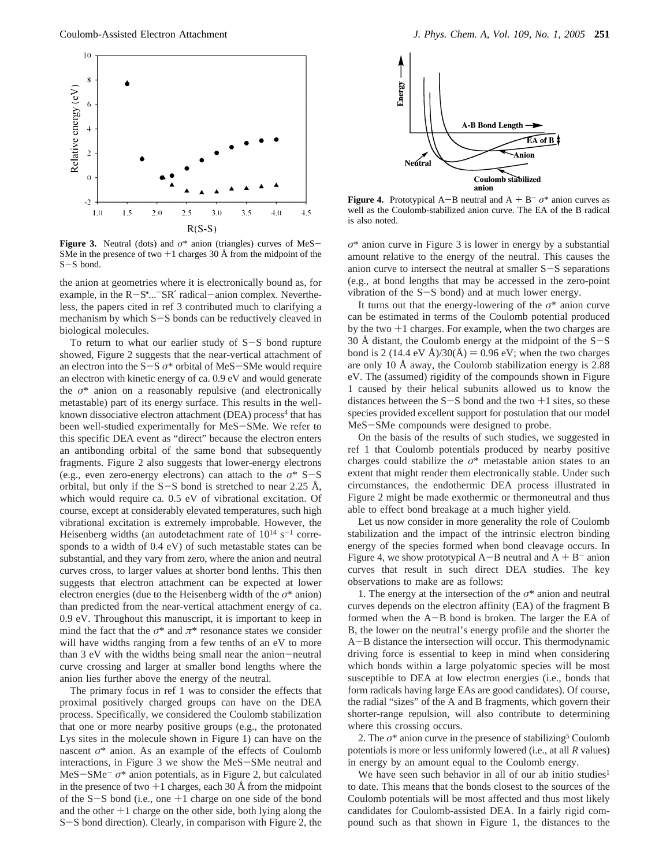

**Figure 3.** Neutral (dots) and *<sup>σ</sup>*\* anion (triangles) curves of MeS-SMe in the presence of two  $+1$  charges 30 Å from the midpoint of the <sup>S</sup>-S bond.

the anion at geometries where it is electronically bound as, for example, in the  $R-S^*...$ <sup>-</sup>SR<sup>'</sup> radical—anion complex. Neverthe-<br>less the papers cited in ref. 3 contributed much to clarifying a less, the papers cited in ref 3 contributed much to clarifying a mechanism by which S-S bonds can be reductively cleaved in biological molecules.

To return to what our earlier study of  $S-S$  bond rupture showed, Figure 2 suggests that the near-vertical attachment of an electron into the S-<sup>S</sup> *<sup>σ</sup>*\* orbital of MeS-SMe would require an electron with kinetic energy of ca. 0.9 eV and would generate the *σ*\* anion on a reasonably repulsive (and electronically metastable) part of its energy surface. This results in the wellknown dissociative electron attachment (DEA) process<sup>4</sup> that has been well-studied experimentally for MeS-SMe. We refer to this specific DEA event as "direct" because the electron enters an antibonding orbital of the same bond that subsequently fragments. Figure 2 also suggests that lower-energy electrons (e.g., even zero-energy electrons) can attach to the *<sup>σ</sup>*\* S-<sup>S</sup> orbital, but only if the  $S-S$  bond is stretched to near 2.25 Å, which would require ca. 0.5 eV of vibrational excitation. Of course, except at considerably elevated temperatures, such high vibrational excitation is extremely improbable. However, the Heisenberg widths (an autodetachment rate of  $10^{14}$  s<sup>-1</sup> corresponds to a width of 0.4 eV) of such metastable states can be substantial, and they vary from zero, where the anion and neutral curves cross, to larger values at shorter bond lenths. This then suggests that electron attachment can be expected at lower electron energies (due to the Heisenberg width of the  $\sigma^*$  anion) than predicted from the near-vertical attachment energy of ca. 0.9 eV. Throughout this manuscript, it is important to keep in mind the fact that the  $\sigma^*$  and  $\pi^*$  resonance states we consider will have widths ranging from a few tenths of an eV to more than 3 eV with the widths being small near the anion-neutral curve crossing and larger at smaller bond lengths where the anion lies further above the energy of the neutral.

The primary focus in ref 1 was to consider the effects that proximal positively charged groups can have on the DEA process. Specifically, we considered the Coulomb stabilization that one or more nearby positive groups (e.g., the protonated Lys sites in the molecule shown in Figure 1) can have on the nascent  $\sigma^*$  anion. As an example of the effects of Coulomb interactions, in Figure 3 we show the MeS-SMe neutral and  $MeS-SMe^ \sigma^*$  anion potentials, as in Figure 2, but calculated in the presence of two  $+1$  charges, each 30 Å from the midpoint of the S-S bond (i.e., one +1 charge on one side of the bond and the other  $+1$  charge on the other side, both lying along the <sup>S</sup>-S bond direction). Clearly, in comparison with Figure 2, the



**Figure 4.** Prototypical A-B neutral and A +  $B^ \sigma^*$  anion curves as well as the Coulomb-stabilized anion curve. The EA of the B radical is also noted.

*σ*\* anion curve in Figure 3 is lower in energy by a substantial amount relative to the energy of the neutral. This causes the anion curve to intersect the neutral at smaller S-S separations (e.g., at bond lengths that may be accessed in the zero-point vibration of the S-S bond) and at much lower energy.

It turns out that the energy-lowering of the *σ*\* anion curve can be estimated in terms of the Coulomb potential produced by the two  $+1$  charges. For example, when the two charges are 30 Å distant, the Coulomb energy at the midpoint of the  $S-S$ bond is 2 (14.4 eV Å)/30(Å) = 0.96 eV; when the two charges are only 10 Å away, the Coulomb stabilization energy is 2.88 eV. The (assumed) rigidity of the compounds shown in Figure 1 caused by their helical subunits allowed us to know the distances between the  $S-S$  bond and the two  $+1$  sites, so these species provided excellent support for postulation that our model MeS-SMe compounds were designed to probe.

On the basis of the results of such studies, we suggested in ref 1 that Coulomb potentials produced by nearby positive charges could stabilize the *σ*\* metastable anion states to an extent that might render them electronically stable. Under such circumstances, the endothermic DEA process illustrated in Figure 2 might be made exothermic or thermoneutral and thus able to effect bond breakage at a much higher yield.

Let us now consider in more generality the role of Coulomb stabilization and the impact of the intrinsic electron binding energy of the species formed when bond cleavage occurs. In Figure 4, we show prototypical A-B neutral and  $A + B^-$  anion curves that result in such direct DEA studies. The key observations to make are as follows:

1. The energy at the intersection of the  $\sigma^*$  anion and neutral curves depends on the electron affinity (EA) of the fragment B formed when the A-B bond is broken. The larger the EA of B, the lower on the neutral's energy profile and the shorter the <sup>A</sup>-B distance the intersection will occur. This thermodynamic driving force is essential to keep in mind when considering which bonds within a large polyatomic species will be most susceptible to DEA at low electron energies (i.e., bonds that form radicals having large EAs are good candidates). Of course, the radial "sizes" of the A and B fragments, which govern their shorter-range repulsion, will also contribute to determining where this crossing occurs.

2. The  $\sigma^*$  anion curve in the presence of stabilizing<sup>5</sup> Coulomb potentials is more or less uniformly lowered (i.e., at all *R* values) in energy by an amount equal to the Coulomb energy.

We have seen such behavior in all of our ab initio studies<sup>1</sup> to date. This means that the bonds closest to the sources of the Coulomb potentials will be most affected and thus most likely candidates for Coulomb-assisted DEA. In a fairly rigid compound such as that shown in Figure 1, the distances to the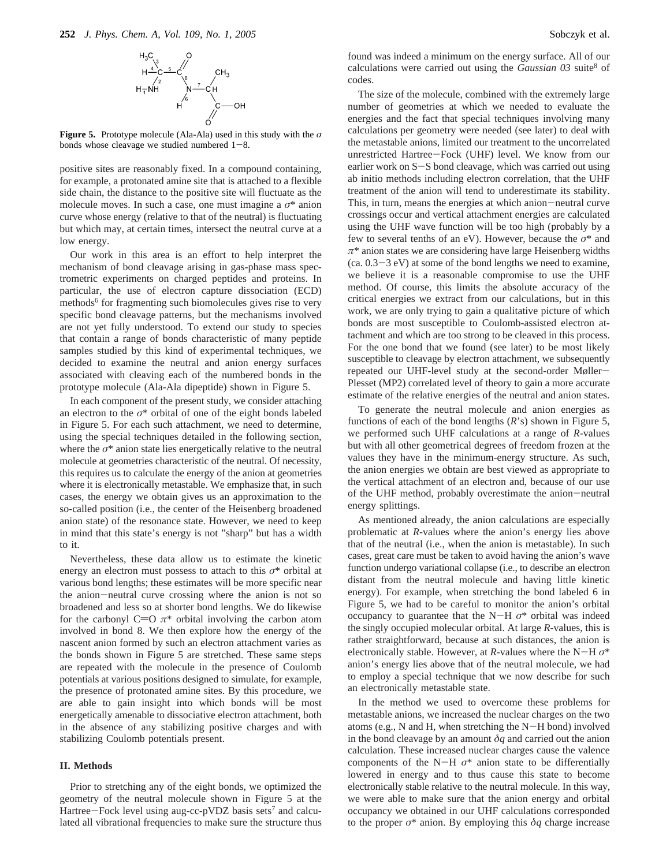

**Figure 5.** Prototype molecule (Ala-Ala) used in this study with the *σ* bonds whose cleavage we studied numbered  $1-8$ .

positive sites are reasonably fixed. In a compound containing, for example, a protonated amine site that is attached to a flexible side chain, the distance to the positive site will fluctuate as the molecule moves. In such a case, one must imagine a *σ*\* anion curve whose energy (relative to that of the neutral) is fluctuating but which may, at certain times, intersect the neutral curve at a low energy.

Our work in this area is an effort to help interpret the mechanism of bond cleavage arising in gas-phase mass spectrometric experiments on charged peptides and proteins. In particular, the use of electron capture dissociation (ECD) methods<sup>6</sup> for fragmenting such biomolecules gives rise to very specific bond cleavage patterns, but the mechanisms involved are not yet fully understood. To extend our study to species that contain a range of bonds characteristic of many peptide samples studied by this kind of experimental techniques, we decided to examine the neutral and anion energy surfaces associated with cleaving each of the numbered bonds in the prototype molecule (Ala-Ala dipeptide) shown in Figure 5.

In each component of the present study, we consider attaching an electron to the *σ*\* orbital of one of the eight bonds labeled in Figure 5. For each such attachment, we need to determine, using the special techniques detailed in the following section, where the  $\sigma^*$  anion state lies energetically relative to the neutral molecule at geometries characteristic of the neutral. Of necessity, this requires us to calculate the energy of the anion at geometries where it is electronically metastable. We emphasize that, in such cases, the energy we obtain gives us an approximation to the so-called position (i.e., the center of the Heisenberg broadened anion state) of the resonance state. However, we need to keep in mind that this state's energy is not "sharp" but has a width to it.

Nevertheless, these data allow us to estimate the kinetic energy an electron must possess to attach to this *σ*\* orbital at various bond lengths; these estimates will be more specific near the anion-neutral curve crossing where the anion is not so broadened and less so at shorter bond lengths. We do likewise for the carbonyl C=O  $\pi^*$  orbital involving the carbon atom involved in bond 8. We then explore how the energy of the nascent anion formed by such an electron attachment varies as the bonds shown in Figure 5 are stretched. These same steps are repeated with the molecule in the presence of Coulomb potentials at various positions designed to simulate, for example, the presence of protonated amine sites. By this procedure, we are able to gain insight into which bonds will be most energetically amenable to dissociative electron attachment, both in the absence of any stabilizing positive charges and with stabilizing Coulomb potentials present.

### **II. Methods**

Prior to stretching any of the eight bonds, we optimized the geometry of the neutral molecule shown in Figure 5 at the Hartree-Fock level using aug-cc-pVDZ basis sets<sup>7</sup> and calculated all vibrational frequencies to make sure the structure thus

found was indeed a minimum on the energy surface. All of our calculations were carried out using the *Gaussian 03* suite<sup>8</sup> of codes.

The size of the molecule, combined with the extremely large number of geometries at which we needed to evaluate the energies and the fact that special techniques involving many calculations per geometry were needed (see later) to deal with the metastable anions, limited our treatment to the uncorrelated unrestricted Hartree-Fock (UHF) level. We know from our earlier work on S-S bond cleavage, which was carried out using ab initio methods including electron correlation, that the UHF treatment of the anion will tend to underestimate its stability. This, in turn, means the energies at which anion-neutral curve crossings occur and vertical attachment energies are calculated using the UHF wave function will be too high (probably by a few to several tenths of an eV). However, because the *σ*\* and *π*\* anion states we are considering have large Heisenberg widths  $(ca. 0.3-3 eV)$  at some of the bond lengths we need to examine, we believe it is a reasonable compromise to use the UHF method. Of course, this limits the absolute accuracy of the critical energies we extract from our calculations, but in this work, we are only trying to gain a qualitative picture of which bonds are most susceptible to Coulomb-assisted electron attachment and which are too strong to be cleaved in this process. For the one bond that we found (see later) to be most likely susceptible to cleavage by electron attachment, we subsequently repeated our UHF-level study at the second-order Møller-Plesset (MP2) correlated level of theory to gain a more accurate estimate of the relative energies of the neutral and anion states.

To generate the neutral molecule and anion energies as functions of each of the bond lengths (*R*'s) shown in Figure 5, we performed such UHF calculations at a range of *R*-values but with all other geometrical degrees of freedom frozen at the values they have in the minimum-energy structure. As such, the anion energies we obtain are best viewed as appropriate to the vertical attachment of an electron and, because of our use of the UHF method, probably overestimate the anion-neutral energy splittings.

As mentioned already, the anion calculations are especially problematic at *R*-values where the anion's energy lies above that of the neutral (i.e., when the anion is metastable). In such cases, great care must be taken to avoid having the anion's wave function undergo variational collapse (i.e., to describe an electron distant from the neutral molecule and having little kinetic energy). For example, when stretching the bond labeled 6 in Figure 5, we had to be careful to monitor the anion's orbital occupancy to guarantee that the N-H  $\sigma^*$  orbital was indeed the singly occupied molecular orbital. At large *R*-values, this is rather straightforward, because at such distances, the anion is electronically stable. However, at *<sup>R</sup>*-values where the N-<sup>H</sup> *<sup>σ</sup>*\* anion's energy lies above that of the neutral molecule, we had to employ a special technique that we now describe for such an electronically metastable state.

In the method we used to overcome these problems for metastable anions, we increased the nuclear charges on the two atoms (e.g., N and H, when stretching the N-H bond) involved in the bond cleavage by an amount  $\delta q$  and carried out the anion calculation. These increased nuclear charges cause the valence components of the N-H  $\sigma^*$  anion state to be differentially lowered in energy and to thus cause this state to become electronically stable relative to the neutral molecule. In this way, we were able to make sure that the anion energy and orbital occupancy we obtained in our UHF calculations corresponded to the proper  $\sigma^*$  anion. By employing this  $\delta q$  charge increase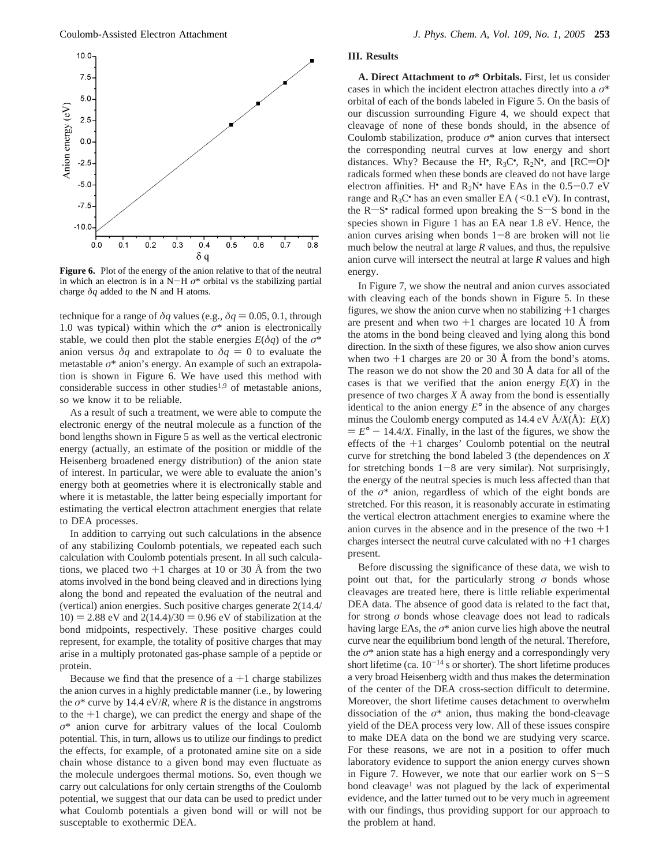

Figure 6. Plot of the energy of the anion relative to that of the neutral in which an electron is in a N-H  $\sigma^*$  orbital vs the stabilizing partial charge *δq* added to the N and H atoms.

technique for a range of  $\delta q$  values (e.g.,  $\delta q = 0.05, 0.1$ , through 1.0 was typical) within which the  $\sigma^*$  anion is electronically stable, we could then plot the stable energies  $E(\delta q)$  of the  $\sigma^*$ anion versus  $\delta q$  and extrapolate to  $\delta q = 0$  to evaluate the metastable *σ*\* anion's energy. An example of such an extrapolation is shown in Figure 6. We have used this method with considerable success in other studies<sup>1,9</sup> of metastable anions, so we know it to be reliable.

As a result of such a treatment, we were able to compute the electronic energy of the neutral molecule as a function of the bond lengths shown in Figure 5 as well as the vertical electronic energy (actually, an estimate of the position or middle of the Heisenberg broadened energy distribution) of the anion state of interest. In particular, we were able to evaluate the anion's energy both at geometries where it is electronically stable and where it is metastable, the latter being especially important for estimating the vertical electron attachment energies that relate to DEA processes.

In addition to carrying out such calculations in the absence of any stabilizing Coulomb potentials, we repeated each such calculation with Coulomb potentials present. In all such calculations, we placed two  $+1$  charges at 10 or 30 Å from the two atoms involved in the bond being cleaved and in directions lying along the bond and repeated the evaluation of the neutral and (vertical) anion energies. Such positive charges generate 2(14.4/  $10$ ) = 2.88 eV and 2(14.4)/30 = 0.96 eV of stabilization at the bond midpoints, respectively. These positive charges could represent, for example, the totality of positive charges that may arise in a multiply protonated gas-phase sample of a peptide or protein.

Because we find that the presence of  $a + 1$  charge stabilizes the anion curves in a highly predictable manner (i.e., by lowering the  $\sigma^*$  curve by 14.4 eV/*R*, where *R* is the distance in angstroms to the +1 charge), we can predict the energy and shape of the *σ*\* anion curve for arbitrary values of the local Coulomb potential. This, in turn, allows us to utilize our findings to predict the effects, for example, of a protonated amine site on a side chain whose distance to a given bond may even fluctuate as the molecule undergoes thermal motions. So, even though we carry out calculations for only certain strengths of the Coulomb potential, we suggest that our data can be used to predict under what Coulomb potentials a given bond will or will not be susceptable to exothermic DEA.

### **III. Results**

**A. Direct Attachment to** *σ***\* Orbitals.** First, let us consider cases in which the incident electron attaches directly into a *σ*\* orbital of each of the bonds labeled in Figure 5. On the basis of our discussion surrounding Figure 4, we should expect that cleavage of none of these bonds should, in the absence of Coulomb stabilization, produce  $\sigma^*$  anion curves that intersect the corresponding neutral curves at low energy and short distances. Why? Because the H<sup>\*</sup>, R<sub>3</sub>C<sup>\*</sup>, R<sub>2</sub>N<sup>\*</sup>, and [RC=O]<sup>\*</sup> radicals formed when these bonds are cleaved do not have large electron affinities. H<sup>•</sup> and  $R_2N$ <sup>•</sup> have EAs in the 0.5–0.7 eV range and  $R_3C^*$  has an even smaller EA ( $\leq 0.1$  eV). In contrast, the  $R-S<sup>•</sup>$  radical formed upon breaking the  $S-S$  bond in the species shown in Figure 1 has an EA near 1.8 eV. Hence, the anion curves arising when bonds  $1-8$  are broken will not lie much below the neutral at large *R* values, and thus, the repulsive anion curve will intersect the neutral at large *R* values and high energy.

In Figure 7, we show the neutral and anion curves associated with cleaving each of the bonds shown in Figure 5. In these figures, we show the anion curve when no stabilizing  $+1$  charges are present and when two  $+1$  charges are located 10 Å from the atoms in the bond being cleaved and lying along this bond direction. In the sixth of these figures, we also show anion curves when two  $+1$  charges are 20 or 30 Å from the bond's atoms. The reason we do not show the 20 and 30 Å data for all of the cases is that we verified that the anion energy  $E(X)$  in the presence of two charges *X* Å away from the bond is essentially identical to the anion energy  $E^{\circ}$  in the absence of any charges minus the Coulomb energy computed as 14.4 eV Å/*X*(Å): *E*(*X*)  $E^{\circ}$  - 14.4/*X*. Finally, in the last of the figures, we show the effects of the +1 charges' Coulomb potential on the neutral curve for stretching the bond labeled 3 (the dependences on *X* for stretching bonds  $1-8$  are very similar). Not surprisingly, the energy of the neutral species is much less affected than that of the *σ*\* anion, regardless of which of the eight bonds are stretched. For this reason, it is reasonably accurate in estimating the vertical electron attachment energies to examine where the anion curves in the absence and in the presence of the two  $+1$ charges intersect the neutral curve calculated with no  $+1$  charges present.

Before discussing the significance of these data, we wish to point out that, for the particularly strong  $\sigma$  bonds whose cleavages are treated here, there is little reliable experimental DEA data. The absence of good data is related to the fact that, for strong *σ* bonds whose cleavage does not lead to radicals having large EAs, the  $\sigma^*$  anion curve lies high above the neutral curve near the equilibrium bond length of the netural. Therefore, the  $\sigma^*$  anion state has a high energy and a correspondingly very short lifetime (ca.  $10^{-14}$  s or shorter). The short lifetime produces a very broad Heisenberg width and thus makes the determination of the center of the DEA cross-section difficult to determine. Moreover, the short lifetime causes detachment to overwhelm dissociation of the  $\sigma^*$  anion, thus making the bond-cleavage yield of the DEA process very low. All of these issues conspire to make DEA data on the bond we are studying very scarce. For these reasons, we are not in a position to offer much laboratory evidence to support the anion energy curves shown in Figure 7. However, we note that our earlier work on S-<sup>S</sup> bond cleavage<sup>1</sup> was not plagued by the lack of experimental evidence, and the latter turned out to be very much in agreement with our findings, thus providing support for our approach to the problem at hand.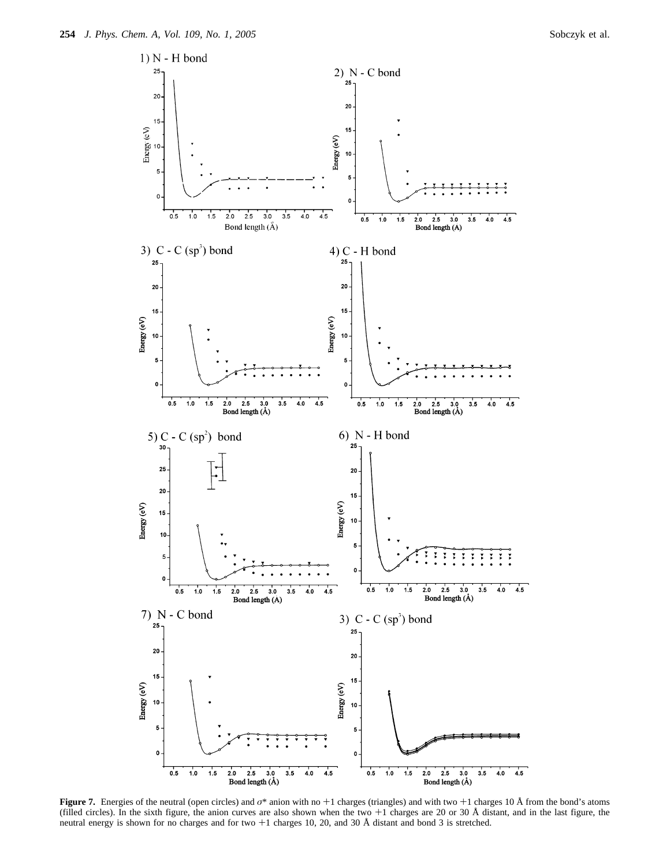

**Figure 7.** Energies of the neutral (open circles) and *<sup>σ</sup>*\* anion with no +1 charges (triangles) and with two +1 charges 10 Å from the bond's atoms (filled circles). In the sixth figure, the anion curves are also shown when the two +1 charges are 20 or 30 Å distant, and in the last figure, the neutral energy is shown for no charges and for two +1 charges 10, 20, and 30 Å distant and bond 3 is stretched.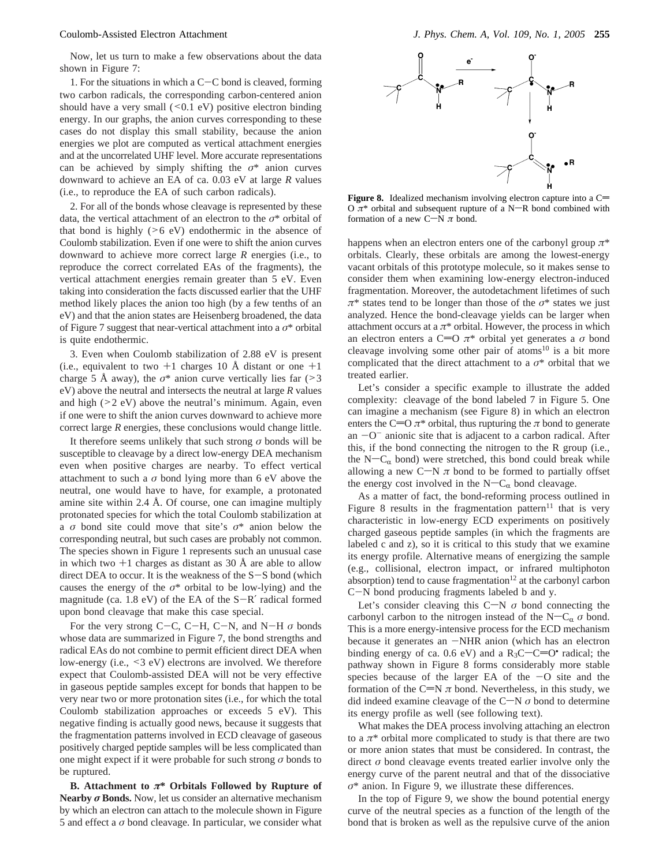Now, let us turn to make a few observations about the data shown in Figure 7:

1. For the situations in which a  $C-C$  bond is cleaved, forming two carbon radicals, the corresponding carbon-centered anion should have a very small  $(<0.1$  eV) positive electron binding energy. In our graphs, the anion curves corresponding to these cases do not display this small stability, because the anion energies we plot are computed as vertical attachment energies and at the uncorrelated UHF level. More accurate representations can be achieved by simply shifting the *σ*\* anion curves downward to achieve an EA of ca. 0.03 eV at large *R* values (i.e., to reproduce the EA of such carbon radicals).

2. For all of the bonds whose cleavage is represented by these data, the vertical attachment of an electron to the *σ*\* orbital of that bond is highly  $(>6$  eV) endothermic in the absence of Coulomb stabilization. Even if one were to shift the anion curves downward to achieve more correct large *R* energies (i.e., to reproduce the correct correlated EAs of the fragments), the vertical attachment energies remain greater than 5 eV. Even taking into consideration the facts discussed earlier that the UHF method likely places the anion too high (by a few tenths of an eV) and that the anion states are Heisenberg broadened, the data of Figure 7 suggest that near-vertical attachment into a *σ*\* orbital is quite endothermic.

3. Even when Coulomb stabilization of 2.88 eV is present (i.e., equivalent to two  $+1$  charges 10 Å distant or one  $+1$ charge 5 Å away), the  $\sigma^*$  anion curve vertically lies far (>3) eV) above the neutral and intersects the neutral at large *R* values and high (>2 eV) above the neutral's minimum. Again, even if one were to shift the anion curves downward to achieve more correct large *R* energies, these conclusions would change little.

It therefore seems unlikely that such strong *σ* bonds will be susceptible to cleavage by a direct low-energy DEA mechanism even when positive charges are nearby. To effect vertical attachment to such a  $\sigma$  bond lying more than 6 eV above the neutral, one would have to have, for example, a protonated amine site within 2.4 Å. Of course, one can imagine multiply protonated species for which the total Coulomb stabilization at a *σ* bond site could move that site's *σ*\* anion below the corresponding neutral, but such cases are probably not common. The species shown in Figure 1 represents such an unusual case in which two  $+1$  charges as distant as 30 Å are able to allow direct DEA to occur. It is the weakness of the S-S bond (which causes the energy of the  $\sigma^*$  orbital to be low-lying) and the magnitude (ca.  $1.8$  eV) of the EA of the S-R' radical formed upon bond cleavage that make this case special.

For the very strong C-C, C-H, C-N, and N-<sup>H</sup> *<sup>σ</sup>* bonds whose data are summarized in Figure 7, the bond strengths and radical EAs do not combine to permit efficient direct DEA when low-energy (i.e., <3 eV) electrons are involved. We therefore expect that Coulomb-assisted DEA will not be very effective in gaseous peptide samples except for bonds that happen to be very near two or more protonation sites (i.e., for which the total Coulomb stabilization approaches or exceeds 5 eV). This negative finding is actually good news, because it suggests that the fragmentation patterns involved in ECD cleavage of gaseous positively charged peptide samples will be less complicated than one might expect if it were probable for such strong *σ* bonds to be ruptured.

**B. Attachment to** *π***\* Orbitals Followed by Rupture of Nearby** *σ* **Bonds.** Now, let us consider an alternative mechanism by which an electron can attach to the molecule shown in Figure 5 and effect a  $\sigma$  bond cleavage. In particular, we consider what



**Figure 8.** Idealized mechanism involving electron capture into a  $C=$ O  $\pi^*$  orbital and subsequent rupture of a N-R bond combined with formation of a new  $C-N \pi$  bond.

happens when an electron enters one of the carbonyl group *π*\* orbitals. Clearly, these orbitals are among the lowest-energy vacant orbitals of this prototype molecule, so it makes sense to consider them when examining low-energy electron-induced fragmentation. Moreover, the autodetachment lifetimes of such  $\pi^*$  states tend to be longer than those of the  $\sigma^*$  states we just analyzed. Hence the bond-cleavage yields can be larger when attachment occurs at a  $\pi^*$  orbital. However, the process in which an electron enters a C=O  $\pi$ <sup>\*</sup> orbital yet generates a  $\sigma$  bond cleavage involving some other pair of atoms<sup>10</sup> is a bit more complicated that the direct attachment to a *σ*\* orbital that we treated earlier.

Let's consider a specific example to illustrate the added complexity: cleavage of the bond labeled 7 in Figure 5. One can imagine a mechanism (see Figure 8) in which an electron enters the C=O  $\pi$ <sup>\*</sup> orbital, thus rupturing the  $\pi$  bond to generate an  $-0^-$  anionic site that is adjacent to a carbon radical. After this, if the bond connecting the nitrogen to the R group (i.e., the N $-C_{\alpha}$  bond) were stretched, this bond could break while allowing a new C $-N$   $\pi$  bond to be formed to partially offset the energy cost involved in the  $N-C_{\alpha}$  bond cleavage.

As a matter of fact, the bond-reforming process outlined in Figure 8 results in the fragmentation pattern<sup>11</sup> that is very characteristic in low-energy ECD experiments on positively charged gaseous peptide samples (in which the fragments are labeled c and z), so it is critical to this study that we examine its energy profile. Alternative means of energizing the sample (e.g., collisional, electron impact, or infrared multiphoton absorption) tend to cause fragmentation<sup>12</sup> at the carbonyl carbon <sup>C</sup>-N bond producing fragments labeled b and y.

Let's consider cleaving this  $C-N$   $\sigma$  bond connecting the carbonyl carbon to the nitrogen instead of the  $N-C_{\alpha} \sigma$  bond. This is a more energy-intensive process for the ECD mechanism because it generates an -NHR anion (which has an electron binding energy of ca. 0.6 eV) and a  $R_3C-C=O^{\bullet}$  radical; the pathway shown in Figure 8 forms considerably more stable species because of the larger EA of the  $-*O*$  site and the formation of the C=N  $\pi$  bond. Nevertheless, in this study, we did indeed examine cleavage of the  $C-N \sigma$  bond to determine its energy profile as well (see following text).

What makes the DEA process involving attaching an electron to a  $\pi^*$  orbital more complicated to study is that there are two or more anion states that must be considered. In contrast, the direct *σ* bond cleavage events treated earlier involve only the energy curve of the parent neutral and that of the dissociative *σ*\* anion. In Figure 9, we illustrate these differences.

In the top of Figure 9, we show the bound potential energy curve of the neutral species as a function of the length of the bond that is broken as well as the repulsive curve of the anion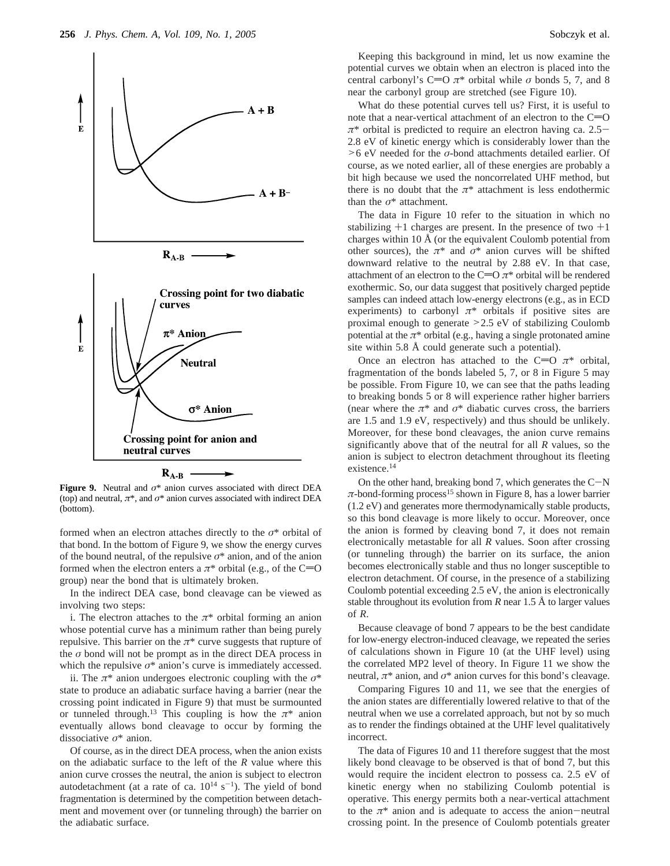

**Figure 9.** Neutral and *σ*\* anion curves associated with direct DEA (top) and neutral,  $\pi^*$ , and  $\sigma^*$  anion curves associated with indirect DEA (bottom).

formed when an electron attaches directly to the *σ*\* orbital of that bond. In the bottom of Figure 9, we show the energy curves of the bound neutral, of the repulsive  $\sigma^*$  anion, and of the anion formed when the electron enters a  $\pi^*$  orbital (e.g., of the C=O group) near the bond that is ultimately broken.

In the indirect DEA case, bond cleavage can be viewed as involving two steps:

i. The electron attaches to the  $\pi^*$  orbital forming an anion whose potential curve has a minimum rather than being purely repulsive. This barrier on the *π*\* curve suggests that rupture of the  $\sigma$  bond will not be prompt as in the direct DEA process in which the repulsive  $\sigma^*$  anion's curve is immediately accessed.

ii. The  $\pi^*$  anion undergoes electronic coupling with the  $\sigma^*$ state to produce an adiabatic surface having a barrier (near the crossing point indicated in Figure 9) that must be surmounted or tunneled through.<sup>13</sup> This coupling is how the  $\pi^*$  anion eventually allows bond cleavage to occur by forming the dissociative *σ*\* anion.

Of course, as in the direct DEA process, when the anion exists on the adiabatic surface to the left of the *R* value where this anion curve crosses the neutral, the anion is subject to electron autodetachment (at a rate of ca.  $10^{14}$  s<sup>-1</sup>). The yield of bond fragmentation is determined by the competition between detachment and movement over (or tunneling through) the barrier on the adiabatic surface.

Keeping this background in mind, let us now examine the potential curves we obtain when an electron is placed into the central carbonyl's C=O  $\pi$ <sup>\*</sup> orbital while  $\sigma$  bonds 5, 7, and 8 near the carbonyl group are stretched (see Figure 10).

What do these potential curves tell us? First, it is useful to note that a near-vertical attachment of an electron to the  $C=O$  $\pi^*$  orbital is predicted to require an electron having ca. 2.5-2.8 eV of kinetic energy which is considerably lower than the >6 eV needed for the *<sup>σ</sup>*-bond attachments detailed earlier. Of course, as we noted earlier, all of these energies are probably a bit high because we used the noncorrelated UHF method, but there is no doubt that the  $\pi^*$  attachment is less endothermic than the  $\sigma^*$  attachment.

The data in Figure 10 refer to the situation in which no stabilizing  $+1$  charges are present. In the presence of two  $+1$ charges within 10 Å (or the equivalent Coulomb potential from other sources), the  $\pi^*$  and  $\sigma^*$  anion curves will be shifted downward relative to the neutral by 2.88 eV. In that case, attachment of an electron to the C=O  $\pi$ <sup>\*</sup> orbital will be rendered exothermic. So, our data suggest that positively charged peptide samples can indeed attach low-energy electrons (e.g., as in ECD experiments) to carbonyl  $\pi^*$  orbitals if positive sites are proximal enough to generate >2.5 eV of stabilizing Coulomb potential at the  $\pi^*$  orbital (e.g., having a single protonated amine site within 5.8 Å could generate such a potential).

Once an electron has attached to the C=O  $\pi^*$  orbital, fragmentation of the bonds labeled 5, 7, or 8 in Figure 5 may be possible. From Figure 10, we can see that the paths leading to breaking bonds 5 or 8 will experience rather higher barriers (near where the  $\pi^*$  and  $\sigma^*$  diabatic curves cross, the barriers are 1.5 and 1.9 eV, respectively) and thus should be unlikely. Moreover, for these bond cleavages, the anion curve remains significantly above that of the neutral for all *R* values, so the anion is subject to electron detachment throughout its fleeting existence.14

On the other hand, breaking bond 7, which generates the  $C-N$  $\pi$ -bond-forming process<sup>15</sup> shown in Figure 8, has a lower barrier (1.2 eV) and generates more thermodynamically stable products, so this bond cleavage is more likely to occur. Moreover, once the anion is formed by cleaving bond 7, it does not remain electronically metastable for all *R* values. Soon after crossing (or tunneling through) the barrier on its surface, the anion becomes electronically stable and thus no longer susceptible to electron detachment. Of course, in the presence of a stabilizing Coulomb potential exceeding 2.5 eV, the anion is electronically stable throughout its evolution from *R* near 1.5 Å to larger values of *R*.

Because cleavage of bond 7 appears to be the best candidate for low-energy electron-induced cleavage, we repeated the series of calculations shown in Figure 10 (at the UHF level) using the correlated MP2 level of theory. In Figure 11 we show the neutral,  $\pi^*$  anion, and  $\sigma^*$  anion curves for this bond's cleavage.

Comparing Figures 10 and 11, we see that the energies of the anion states are differentially lowered relative to that of the neutral when we use a correlated approach, but not by so much as to render the findings obtained at the UHF level qualitatively incorrect.

The data of Figures 10 and 11 therefore suggest that the most likely bond cleavage to be observed is that of bond 7, but this would require the incident electron to possess ca. 2.5 eV of kinetic energy when no stabilizing Coulomb potential is operative. This energy permits both a near-vertical attachment to the  $\pi^*$  anion and is adequate to access the anion-neutral crossing point. In the presence of Coulomb potentials greater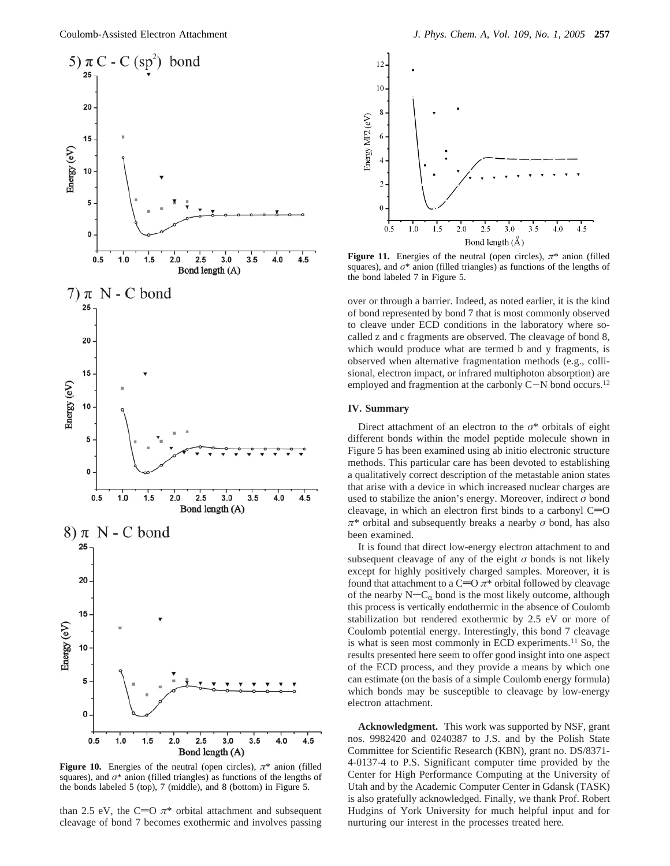

**Figure 10.** Energies of the neutral (open circles),  $\pi^*$  anion (filled squares), and *σ*\* anion (filled triangles) as functions of the lengths of the bonds labeled 5 (top), 7 (middle), and 8 (bottom) in Figure 5.

than 2.5 eV, the C=O  $\pi$ <sup>\*</sup> orbital attachment and subsequent cleavage of bond 7 becomes exothermic and involves passing



**Figure 11.** Energies of the neutral (open circles),  $\pi^*$  anion (filled squares), and  $\sigma^*$  anion (filled triangles) as functions of the lengths of the bond labeled 7 in Figure 5.

over or through a barrier. Indeed, as noted earlier, it is the kind of bond represented by bond 7 that is most commonly observed to cleave under ECD conditions in the laboratory where socalled z and c fragments are observed. The cleavage of bond 8, which would produce what are termed b and y fragments, is observed when alternative fragmentation methods (e.g., collisional, electron impact, or infrared multiphoton absorption) are employed and fragmention at the carbonly  $C-N$  bond occurs.<sup>12</sup>

### **IV. Summary**

Direct attachment of an electron to the *σ*\* orbitals of eight different bonds within the model peptide molecule shown in Figure 5 has been examined using ab initio electronic structure methods. This particular care has been devoted to establishing a qualitatively correct description of the metastable anion states that arise with a device in which increased nuclear charges are used to stabilize the anion's energy. Moreover, indirect *σ* bond cleavage, in which an electron first binds to a carbonyl  $C=O$ *π*\* orbital and subsequently breaks a nearby *σ* bond, has also been examined.

It is found that direct low-energy electron attachment to and subsequent cleavage of any of the eight  $\sigma$  bonds is not likely except for highly positively charged samples. Moreover, it is found that attachment to a  $C=O \pi^*$  orbital followed by cleavage of the nearby  $N-C_\alpha$  bond is the most likely outcome, although this process is vertically endothermic in the absence of Coulomb stabilization but rendered exothermic by 2.5 eV or more of Coulomb potential energy. Interestingly, this bond 7 cleavage is what is seen most commonly in ECD experiments.<sup>11</sup> So, the results presented here seem to offer good insight into one aspect of the ECD process, and they provide a means by which one can estimate (on the basis of a simple Coulomb energy formula) which bonds may be susceptible to cleavage by low-energy electron attachment.

**Acknowledgment.** This work was supported by NSF, grant nos. 9982420 and 0240387 to J.S. and by the Polish State Committee for Scientific Research (KBN), grant no. DS/8371- 4-0137-4 to P.S. Significant computer time provided by the Center for High Performance Computing at the University of Utah and by the Academic Computer Center in Gdansk (TASK) is also gratefully acknowledged. Finally, we thank Prof. Robert Hudgins of York University for much helpful input and for nurturing our interest in the processes treated here.